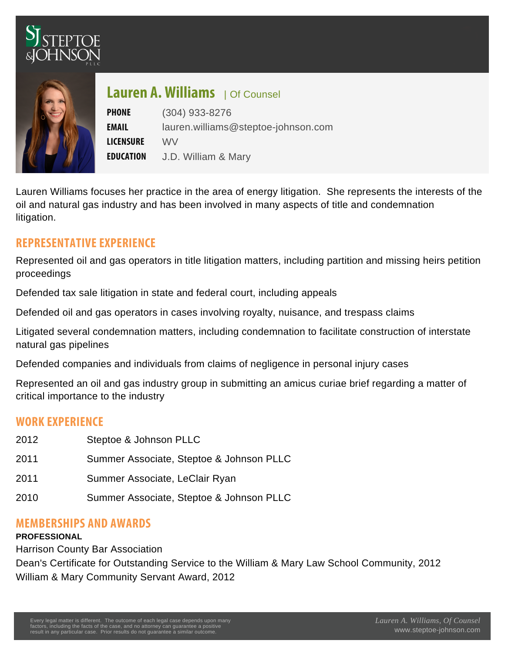## $L$  auren A. oWounsell ams

PHONE (304) 933-8276 EMAIL [lauren.williams@steptoe-johnson.com](mailto:lauren.williams@steptoe-johnson.com) LICENSWRE E D U C A TJD William & Mary

Lauren Williams focuses her practice in the area of energy litigation. She represents the interests of the oil and natural gas industry and has been involved in many aspects of title and condemnation litigation.

## REPRESENTATIVE EXPERIENCE

Represented oil and gas operators in title litigation matters, including partition and missing heirs petition proceedings

Defended tax sale litigation in state and federal court, including appeals

Defended oil and gas operators in cases involving royalty, nuisance, and trespass claims

Litigated several condemnation matters, including condemnation to facilitate construction of interstate natural gas pipelines

Defended companies and individuals from claims of negligence in personal injury cases

Represented an oil and gas industry group in submitting an amicus curiae brief regarding a matter of critical importance to the industry

## WORK EXPERIENCE

| 2012 | Steptoe & Johnson PLLC                   |
|------|------------------------------------------|
| 2011 | Summer Associate, Steptoe & Johnson PLLC |
| 2011 | Summer Associate, LeClair Ryan           |
| 2010 | Summer Associate, Steptoe & Johnson PLLC |

## MEMBERSHIPS AND AWARDS

PROFESSIONAL

Harrison County Bar Association

Dean's Certificate for Outstanding Service to the William & Mary Law School Community, 2012 William & Mary Community Servant Award, 2012